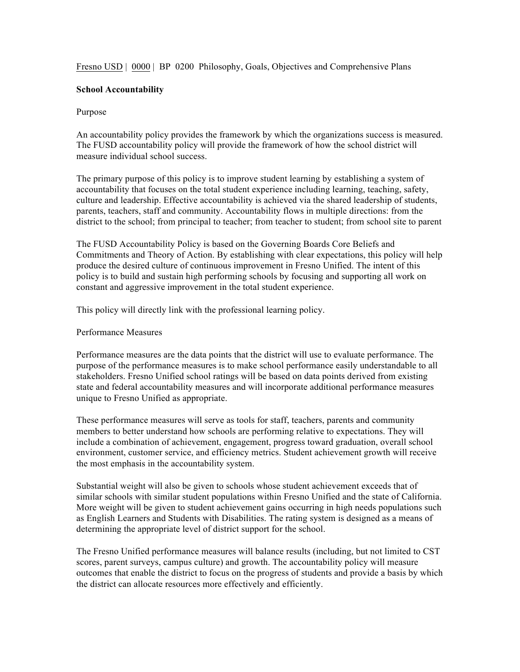Fresno USD | 0000 | BP 0200 Philosophy, Goals, Objectives and Comprehensive Plans

## **School Accountability**

## Purpose

An accountability policy provides the framework by which the organizations success is measured. The FUSD accountability policy will provide the framework of how the school district will measure individual school success.

The primary purpose of this policy is to improve student learning by establishing a system of accountability that focuses on the total student experience including learning, teaching, safety, culture and leadership. Effective accountability is achieved via the shared leadership of students, parents, teachers, staff and community. Accountability flows in multiple directions: from the district to the school; from principal to teacher; from teacher to student; from school site to parent

The FUSD Accountability Policy is based on the Governing Boards Core Beliefs and Commitments and Theory of Action. By establishing with clear expectations, this policy will help produce the desired culture of continuous improvement in Fresno Unified. The intent of this policy is to build and sustain high performing schools by focusing and supporting all work on constant and aggressive improvement in the total student experience.

This policy will directly link with the professional learning policy.

## Performance Measures

Performance measures are the data points that the district will use to evaluate performance. The purpose of the performance measures is to make school performance easily understandable to all stakeholders. Fresno Unified school ratings will be based on data points derived from existing state and federal accountability measures and will incorporate additional performance measures unique to Fresno Unified as appropriate.

These performance measures will serve as tools for staff, teachers, parents and community members to better understand how schools are performing relative to expectations. They will include a combination of achievement, engagement, progress toward graduation, overall school environment, customer service, and efficiency metrics. Student achievement growth will receive the most emphasis in the accountability system.

Substantial weight will also be given to schools whose student achievement exceeds that of similar schools with similar student populations within Fresno Unified and the state of California. More weight will be given to student achievement gains occurring in high needs populations such as English Learners and Students with Disabilities. The rating system is designed as a means of determining the appropriate level of district support for the school.

The Fresno Unified performance measures will balance results (including, but not limited to CST scores, parent surveys, campus culture) and growth. The accountability policy will measure outcomes that enable the district to focus on the progress of students and provide a basis by which the district can allocate resources more effectively and efficiently.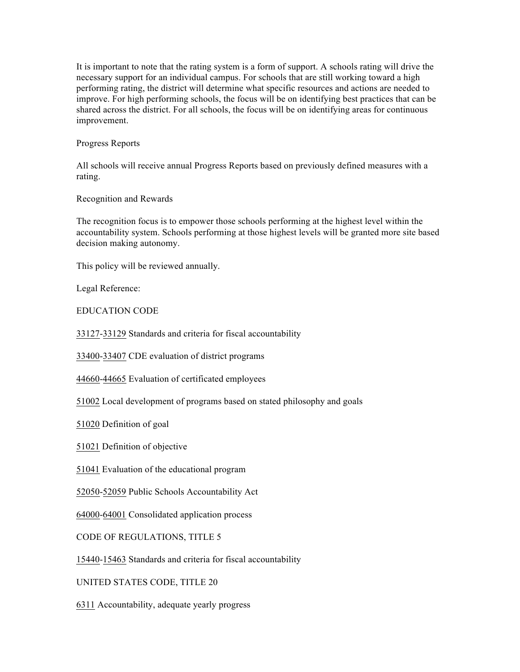It is important to note that the rating system is a form of support. A schools rating will drive the necessary support for an individual campus. For schools that are still working toward a high performing rating, the district will determine what specific resources and actions are needed to improve. For high performing schools, the focus will be on identifying best practices that can be shared across the district. For all schools, the focus will be on identifying areas for continuous improvement.

Progress Reports

All schools will receive annual Progress Reports based on previously defined measures with a rating.

Recognition and Rewards

The recognition focus is to empower those schools performing at the highest level within the accountability system. Schools performing at those highest levels will be granted more site based decision making autonomy.

This policy will be reviewed annually.

Legal Reference:

EDUCATION CODE

33127-33129 Standards and criteria for fiscal accountability

33400-33407 CDE evaluation of district programs

44660-44665 Evaluation of certificated employees

51002 Local development of programs based on stated philosophy and goals

51020 Definition of goal

51021 Definition of objective

51041 Evaluation of the educational program

52050-52059 Public Schools Accountability Act

64000-64001 Consolidated application process

CODE OF REGULATIONS, TITLE 5

15440-15463 Standards and criteria for fiscal accountability

UNITED STATES CODE, TITLE 20

6311 Accountability, adequate yearly progress